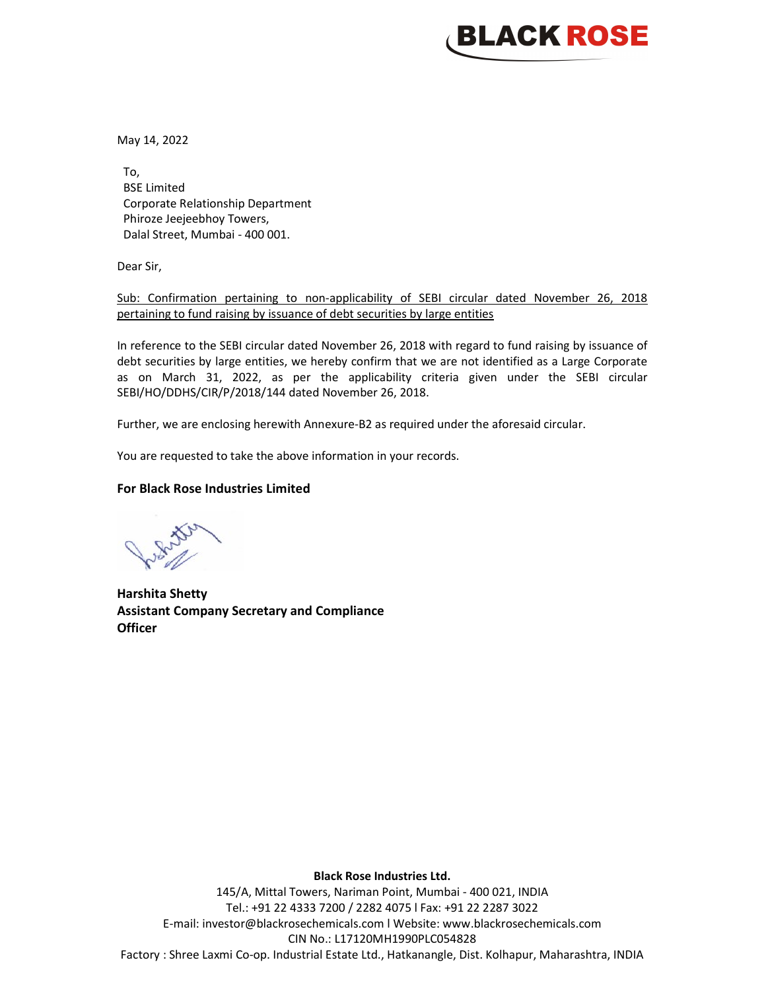## **BLACK ROSE**

May 14, 2022

To, BSE Limited Corporate Relationship Department Phiroze Jeejeebhoy Towers, Dalal Street, Mumbai - 400 001.

Dear Sir,

Sub: Confirmation pertaining to non-applicability of SEBI circular dated November 26, 2018 pertaining to fund raising by issuance of debt securities by large entities

In reference to the SEBI circular dated November 26, 2018 with regard to fund raising by issuance of debt securities by large entities, we hereby confirm that we are not identified as a Large Corporate as on March 31, 2022, as per the applicability criteria given under the SEBI circular SEBI/HO/DDHS/CIR/P/2018/144 dated November 26, 2018.

Further, we are enclosing herewith Annexure-B2 as required under the aforesaid circular.

You are requested to take the above information in your records.

## For Black Rose Industries Limited

Harshita Shetty Assistant Company Secretary and Compliance **Officer** 

Black Rose Industries Ltd.

145/A, Mittal Towers, Nariman Point, Mumbai - 400 021, INDIA Tel.: +91 22 4333 7200 / 2282 4075 l Fax: +91 22 2287 3022 E-mail: investor@blackrosechemicals.com l Website: www.blackrosechemicals.com CIN No.: L17120MH1990PLC054828 Factory : Shree Laxmi Co-op. Industrial Estate Ltd., Hatkanangle, Dist. Kolhapur, Maharashtra, INDIA